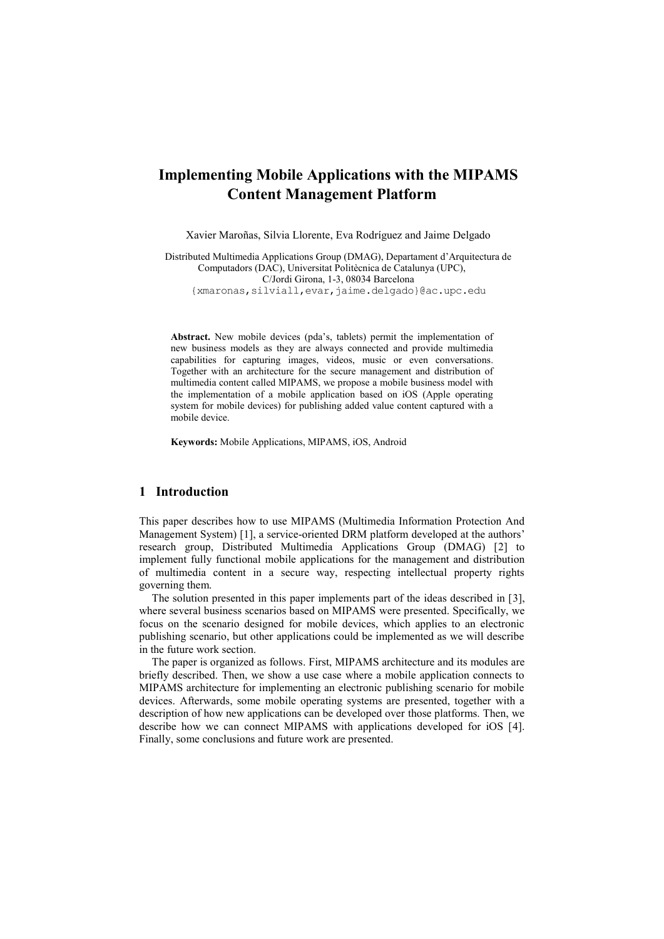# **Implementing Mobile Applications with the MIPAMS Content Management Platform**

Xavier Maroñas, Silvia Llorente, Eva Rodríguez and Jaime Delgado

Distributed Multimedia Applications Group (DMAG), Departament d'Arquitectura de Computadors (DAC), Universitat Politècnica de Catalunya (UPC), C/Jordi Girona, 1-3, 08034 Barcelona {xmaronas,silviall,evar,jaime.delgado}@ac.upc.edu

**Abstract.** New mobile devices (pda's, tablets) permit the implementation of new business models as they are always connected and provide multimedia capabilities for capturing images, videos, music or even conversations. Together with an architecture for the secure management and distribution of multimedia content called MIPAMS, we propose a mobile business model with the implementation of a mobile application based on iOS (Apple operating system for mobile devices) for publishing added value content captured with a mobile device.

**Keywords:** Mobile Applications, MIPAMS, iOS, Android

### **1 Introduction**

This paper describes how to use MIPAMS (Multimedia Information Protection And Management System) [1], a service-oriented DRM platform developed at the authors' research group, Distributed Multimedia Applications Group (DMAG) [2] to implement fully functional mobile applications for the management and distribution of multimedia content in a secure way, respecting intellectual property rights governing them.

The solution presented in this paper implements part of the ideas described in [3], where several business scenarios based on MIPAMS were presented. Specifically, we focus on the scenario designed for mobile devices, which applies to an electronic publishing scenario, but other applications could be implemented as we will describe in the future work section.

The paper is organized as follows. First, MIPAMS architecture and its modules are briefly described. Then, we show a use case where a mobile application connects to MIPAMS architecture for implementing an electronic publishing scenario for mobile devices. Afterwards, some mobile operating systems are presented, together with a description of how new applications can be developed over those platforms. Then, we describe how we can connect MIPAMS with applications developed for iOS [4]. Finally, some conclusions and future work are presented.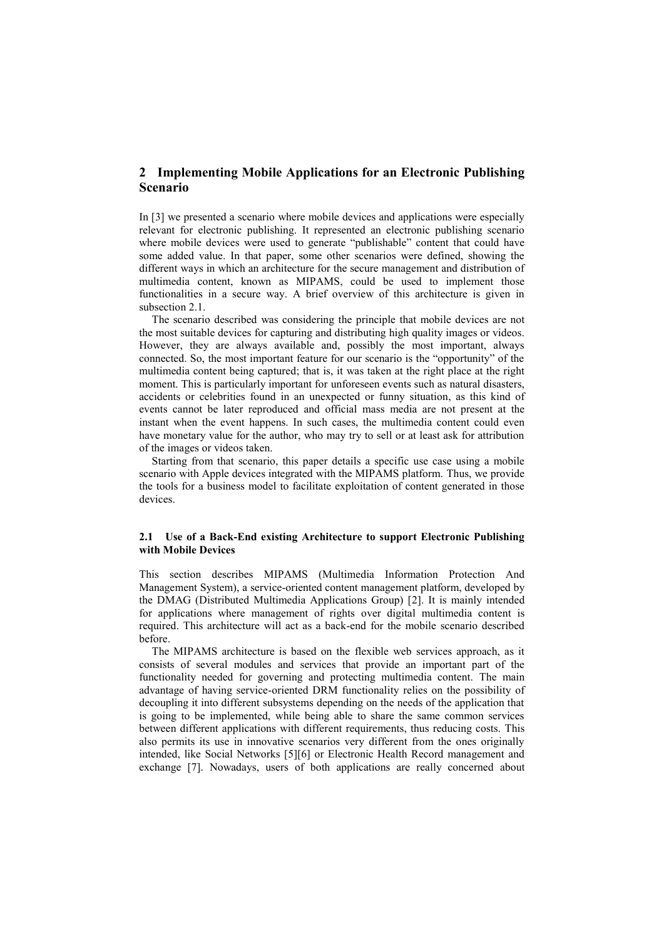## **2 Implementing Mobile Applications for an Electronic Publishing Scenario**

In [3] we presented a scenario where mobile devices and applications were especially relevant for electronic publishing. It represented an electronic publishing scenario where mobile devices were used to generate "publishable" content that could have some added value. In that paper, some other scenarios were defined, showing the different ways in which an architecture for the secure management and distribution of multimedia content, known as MIPAMS, could be used to implement those functionalities in a secure way. A brief overview of this architecture is given in subsection 2.1.

The scenario described was considering the principle that mobile devices are not the most suitable devices for capturing and distributing high quality images or videos. However, they are always available and, possibly the most important, always connected. So, the most important feature for our scenario is the "opportunity" of the multimedia content being captured; that is, it was taken at the right place at the right moment. This is particularly important for unforeseen events such as natural disasters, accidents or celebrities found in an unexpected or funny situation, as this kind of events cannot be later reproduced and official mass media are not present at the instant when the event happens. In such cases, the multimedia content could even have monetary value for the author, who may try to sell or at least ask for attribution of the images or videos taken.

Starting from that scenario, this paper details a specific use case using a mobile scenario with Apple devices integrated with the MIPAMS platform. Thus, we provide the tools for a business model to facilitate exploitation of content generated in those devices.

#### **2.1 Use of a Back-End existing Architecture to support Electronic Publishing with Mobile Devices**

This section describes MIPAMS (Multimedia Information Protection And Management System), a service-oriented content management platform, developed by the DMAG (Distributed Multimedia Applications Group) [2]. It is mainly intended for applications where management of rights over digital multimedia content is required. This architecture will act as a back-end for the mobile scenario described before.

The MIPAMS architecture is based on the flexible web services approach, as it consists of several modules and services that provide an important part of the functionality needed for governing and protecting multimedia content. The main advantage of having service-oriented DRM functionality relies on the possibility of decoupling it into different subsystems depending on the needs of the application that is going to be implemented, while being able to share the same common services between different applications with different requirements, thus reducing costs. This also permits its use in innovative scenarios very different from the ones originally intended, like Social Networks [5][6] or Electronic Health Record management and exchange [7]. Nowadays, users of both applications are really concerned about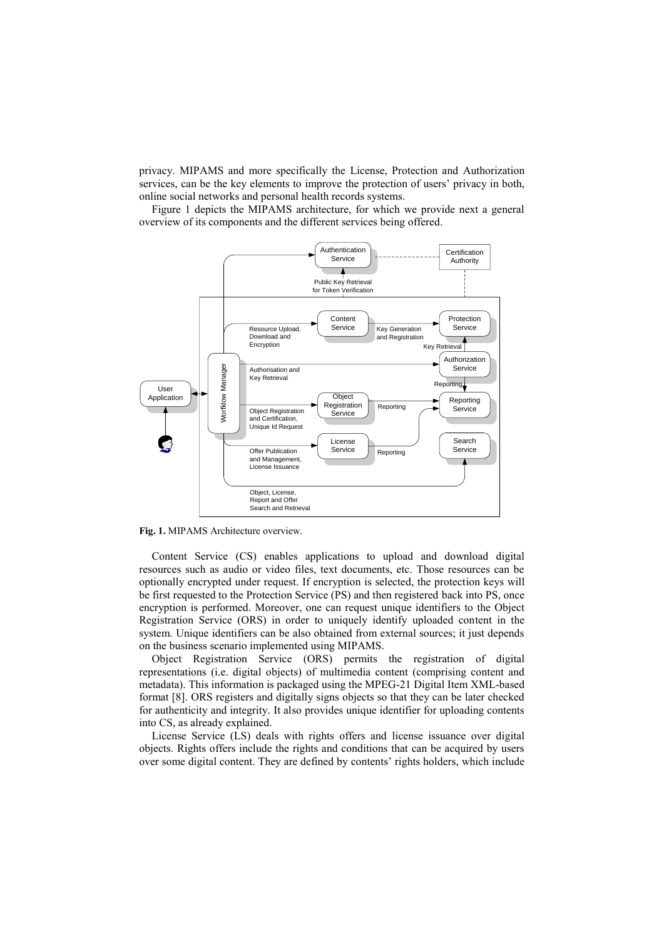privacy. MIPAMS and more specifically the License, Protection and Authorization services, can be the key elements to improve the protection of users' privacy in both, online social networks and personal health records systems.

Figure 1 depicts the MIPAMS architecture, for which we provide next a general overview of its components and the different services being offered.



**Fig. 1.** MIPAMS Architecture overview.

Content Service (CS) enables applications to upload and download digital resources such as audio or video files, text documents, etc. Those resources can be optionally encrypted under request. If encryption is selected, the protection keys will be first requested to the Protection Service (PS) and then registered back into PS, once encryption is performed. Moreover, one can request unique identifiers to the Object Registration Service (ORS) in order to uniquely identify uploaded content in the system. Unique identifiers can be also obtained from external sources; it just depends on the business scenario implemented using MIPAMS.

Object Registration Service (ORS) permits the registration of digital representations (i.e. digital objects) of multimedia content (comprising content and metadata). This information is packaged using the MPEG-21 Digital Item XML-based format [8]. ORS registers and digitally signs objects so that they can be later checked for authenticity and integrity. It also provides unique identifier for uploading contents into CS, as already explained.

License Service (LS) deals with rights offers and license issuance over digital objects. Rights offers include the rights and conditions that can be acquired by users over some digital content. They are defined by contents' rights holders, which include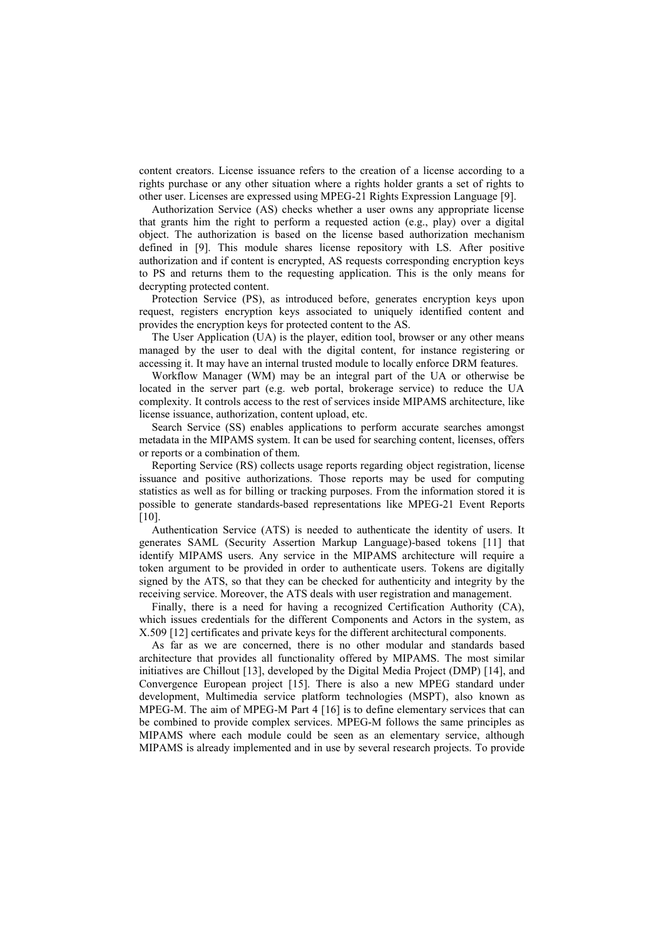content creators. License issuance refers to the creation of a license according to a rights purchase or any other situation where a rights holder grants a set of rights to other user. Licenses are expressed using MPEG-21 Rights Expression Language [9].

Authorization Service (AS) checks whether a user owns any appropriate license that grants him the right to perform a requested action (e.g., play) over a digital object. The authorization is based on the license based authorization mechanism defined in [9]. This module shares license repository with LS. After positive authorization and if content is encrypted, AS requests corresponding encryption keys to PS and returns them to the requesting application. This is the only means for decrypting protected content.

Protection Service (PS), as introduced before, generates encryption keys upon request, registers encryption keys associated to uniquely identified content and provides the encryption keys for protected content to the AS.

The User Application (UA) is the player, edition tool, browser or any other means managed by the user to deal with the digital content, for instance registering or accessing it. It may have an internal trusted module to locally enforce DRM features.

Workflow Manager (WM) may be an integral part of the UA or otherwise be located in the server part (e.g. web portal, brokerage service) to reduce the UA complexity. It controls access to the rest of services inside MIPAMS architecture, like license issuance, authorization, content upload, etc.

Search Service (SS) enables applications to perform accurate searches amongst metadata in the MIPAMS system. It can be used for searching content, licenses, offers or reports or a combination of them.

Reporting Service (RS) collects usage reports regarding object registration, license issuance and positive authorizations. Those reports may be used for computing statistics as well as for billing or tracking purposes. From the information stored it is possible to generate standards-based representations like MPEG-21 Event Reports [10].

Authentication Service (ATS) is needed to authenticate the identity of users. It generates SAML (Security Assertion Markup Language)-based tokens [11] that identify MIPAMS users. Any service in the MIPAMS architecture will require a token argument to be provided in order to authenticate users. Tokens are digitally signed by the ATS, so that they can be checked for authenticity and integrity by the receiving service. Moreover, the ATS deals with user registration and management.

Finally, there is a need for having a recognized Certification Authority (CA), which issues credentials for the different Components and Actors in the system, as X.509 [12] certificates and private keys for the different architectural components.

As far as we are concerned, there is no other modular and standards based architecture that provides all functionality offered by MIPAMS. The most similar initiatives are Chillout [13], developed by the Digital Media Project (DMP) [14], and Convergence European project [15]. There is also a new MPEG standard under development, Multimedia service platform technologies (MSPT), also known as MPEG-M. The aim of MPEG-M Part 4 [16] is to define elementary services that can be combined to provide complex services. MPEG-M follows the same principles as MIPAMS where each module could be seen as an elementary service, although MIPAMS is already implemented and in use by several research projects. To provide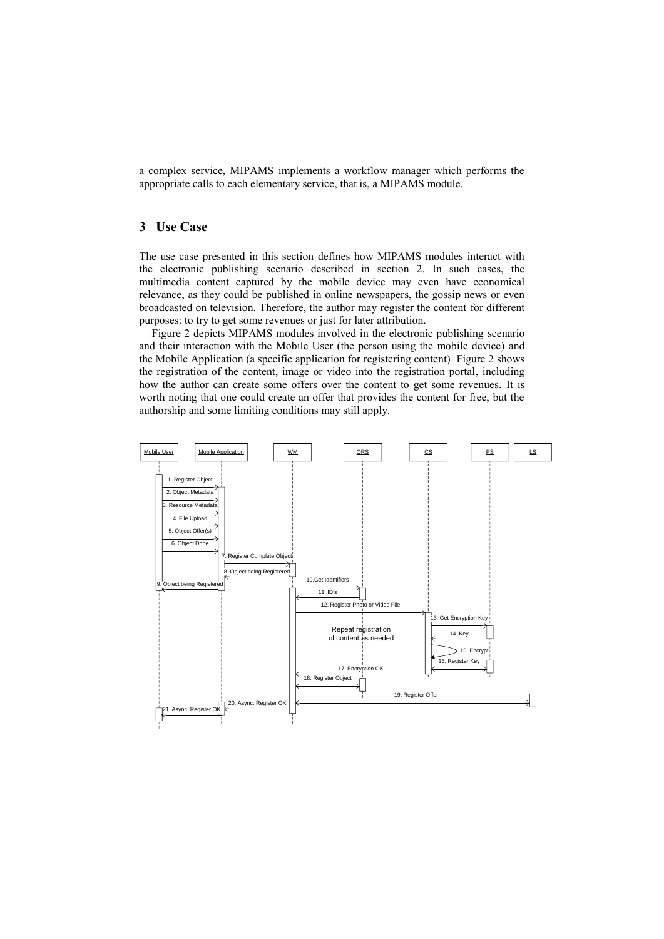a complex service, MIPAMS implements a workflow manager which performs the appropriate calls to each elementary service, that is, a MIPAMS module.

## **3 Use Case**

The use case presented in this section defines how MIPAMS modules interact with the electronic publishing scenario described in section 2. In such cases, the multimedia content captured by the mobile device may even have economical relevance, as they could be published in online newspapers, the gossip news or even broadcasted on television. Therefore, the author may register the content for different purposes: to try to get some revenues or just for later attribution.

Figure 2 depicts MIPAMS modules involved in the electronic publishing scenario and their interaction with the Mobile User (the person using the mobile device) and the Mobile Application (a specific application for registering content). Figure 2 shows the registration of the content, image or video into the registration portal, including how the author can create some offers over the content to get some revenues. It is worth noting that one could create an offer that provides the content for free, but the authorship and some limiting conditions may still apply.

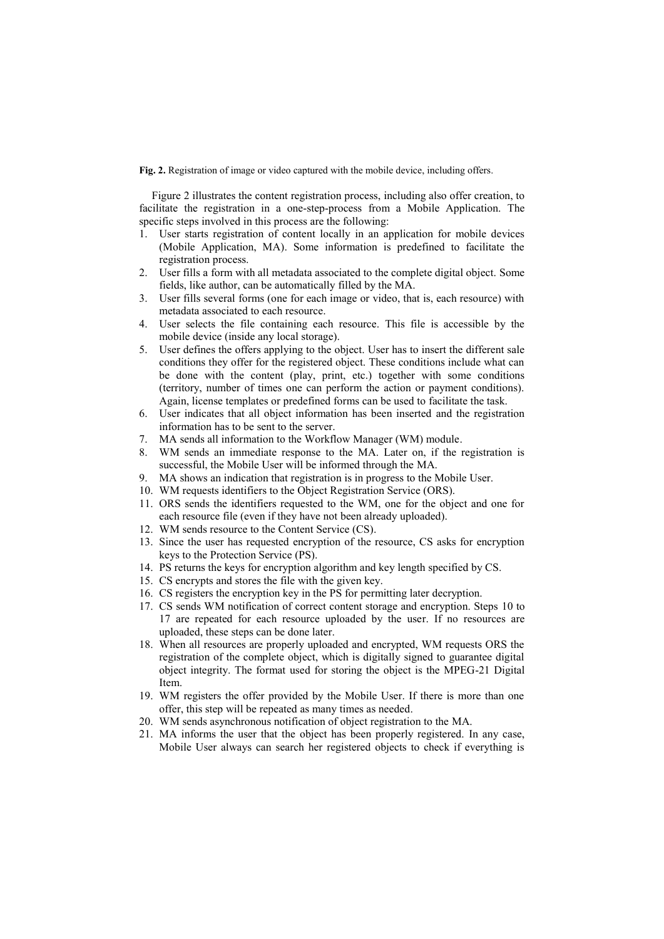**Fig. 2.** Registration of image or video captured with the mobile device, including offers.

Figure 2 illustrates the content registration process, including also offer creation, to facilitate the registration in a one-step-process from a Mobile Application. The specific steps involved in this process are the following:

- 1. User starts registration of content locally in an application for mobile devices (Mobile Application, MA). Some information is predefined to facilitate the registration process.
- 2. User fills a form with all metadata associated to the complete digital object. Some fields, like author, can be automatically filled by the MA.
- 3. User fills several forms (one for each image or video, that is, each resource) with metadata associated to each resource.
- 4. User selects the file containing each resource. This file is accessible by the mobile device (inside any local storage).
- 5. User defines the offers applying to the object. User has to insert the different sale conditions they offer for the registered object. These conditions include what can be done with the content (play, print, etc.) together with some conditions (territory, number of times one can perform the action or payment conditions). Again, license templates or predefined forms can be used to facilitate the task.
- 6. User indicates that all object information has been inserted and the registration information has to be sent to the server.
- 7. MA sends all information to the Workflow Manager (WM) module.
- 8. WM sends an immediate response to the MA. Later on, if the registration is successful, the Mobile User will be informed through the MA.
- 9. MA shows an indication that registration is in progress to the Mobile User.
- 10. WM requests identifiers to the Object Registration Service (ORS).
- 11. ORS sends the identifiers requested to the WM, one for the object and one for each resource file (even if they have not been already uploaded).
- 12. WM sends resource to the Content Service (CS).
- 13. Since the user has requested encryption of the resource, CS asks for encryption keys to the Protection Service (PS).
- 14. PS returns the keys for encryption algorithm and key length specified by CS.
- 15. CS encrypts and stores the file with the given key.
- 16. CS registers the encryption key in the PS for permitting later decryption.
- 17. CS sends WM notification of correct content storage and encryption. Steps 10 to 17 are repeated for each resource uploaded by the user. If no resources are uploaded, these steps can be done later.
- 18. When all resources are properly uploaded and encrypted, WM requests ORS the registration of the complete object, which is digitally signed to guarantee digital object integrity. The format used for storing the object is the MPEG-21 Digital Item.
- 19. WM registers the offer provided by the Mobile User. If there is more than one offer, this step will be repeated as many times as needed.
- 20. WM sends asynchronous notification of object registration to the MA.
- 21. MA informs the user that the object has been properly registered. In any case, Mobile User always can search her registered objects to check if everything is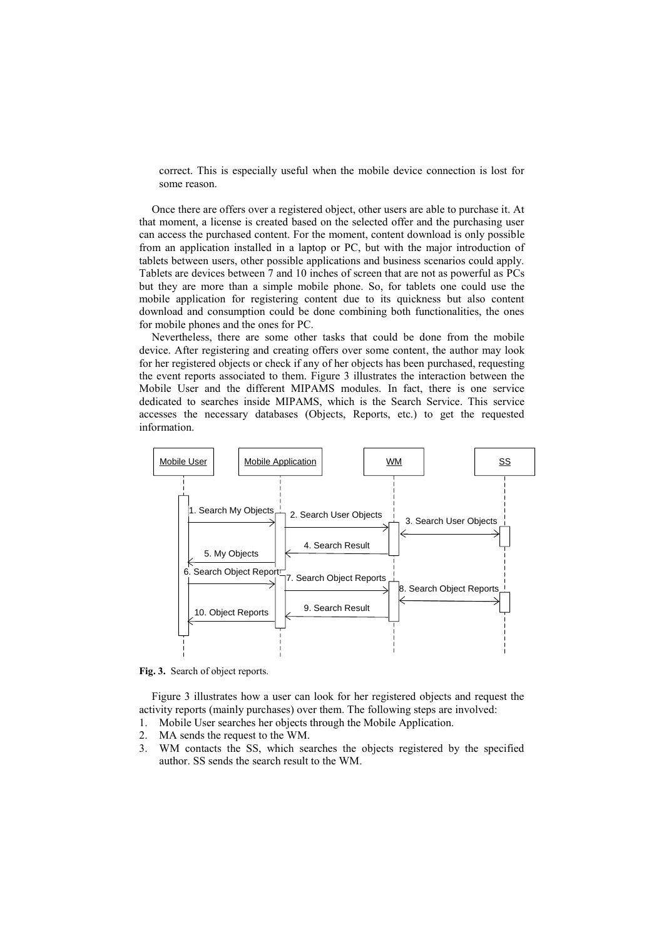correct. This is especially useful when the mobile device connection is lost for some reason.

Once there are offers over a registered object, other users are able to purchase it. At that moment, a license is created based on the selected offer and the purchasing user can access the purchased content. For the moment, content download is only possible from an application installed in a laptop or PC, but with the major introduction of tablets between users, other possible applications and business scenarios could apply. Tablets are devices between 7 and 10 inches of screen that are not as powerful as PCs but they are more than a simple mobile phone. So, for tablets one could use the mobile application for registering content due to its quickness but also content download and consumption could be done combining both functionalities, the ones for mobile phones and the ones for PC.

Nevertheless, there are some other tasks that could be done from the mobile device. After registering and creating offers over some content, the author may look for her registered objects or check if any of her objects has been purchased, requesting the event reports associated to them. Figure 3 illustrates the interaction between the Mobile User and the different MIPAMS modules. In fact, there is one service dedicated to searches inside MIPAMS, which is the Search Service. This service accesses the necessary databases (Objects, Reports, etc.) to get the requested information.



**Fig. 3.** Search of object reports.

Figure 3 illustrates how a user can look for her registered objects and request the activity reports (mainly purchases) over them. The following steps are involved:

- 1. Mobile User searches her objects through the Mobile Application.
- 2. MA sends the request to the WM.
- 3. WM contacts the SS, which searches the objects registered by the specified author. SS sends the search result to the WM.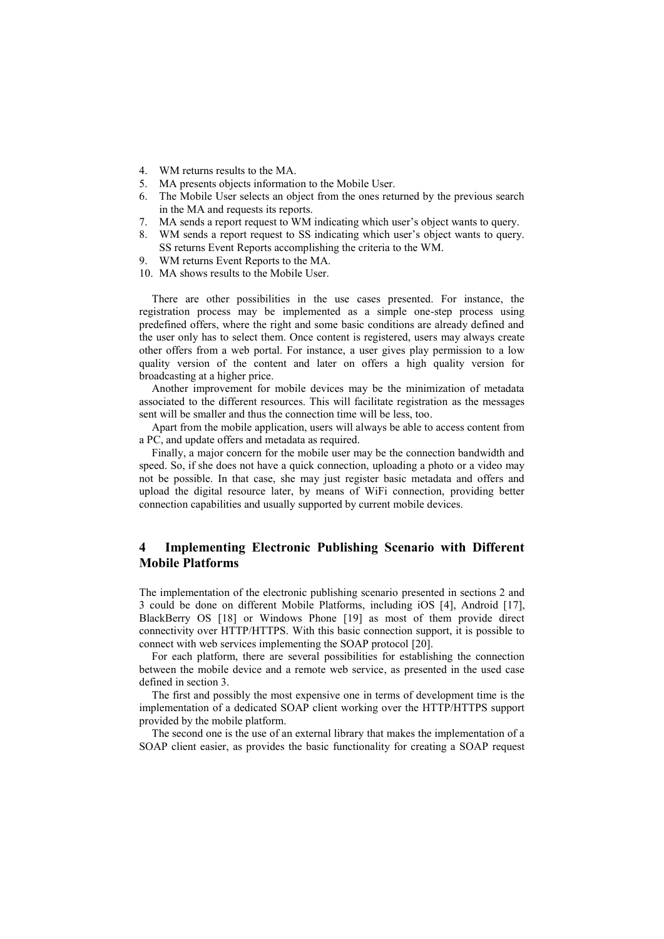- 4. WM returns results to the MA.
- 5. MA presents objects information to the Mobile User.
- 6. The Mobile User selects an object from the ones returned by the previous search in the MA and requests its reports.
- 7. MA sends a report request to WM indicating which user's object wants to query.
- 8. WM sends a report request to SS indicating which user's object wants to query. SS returns Event Reports accomplishing the criteria to the WM.
- WM returns Event Reports to the MA.
- 10. MA shows results to the Mobile User.

There are other possibilities in the use cases presented. For instance, the registration process may be implemented as a simple one-step process using predefined offers, where the right and some basic conditions are already defined and the user only has to select them. Once content is registered, users may always create other offers from a web portal. For instance, a user gives play permission to a low quality version of the content and later on offers a high quality version for broadcasting at a higher price.

Another improvement for mobile devices may be the minimization of metadata associated to the different resources. This will facilitate registration as the messages sent will be smaller and thus the connection time will be less, too.

Apart from the mobile application, users will always be able to access content from a PC, and update offers and metadata as required.

Finally, a major concern for the mobile user may be the connection bandwidth and speed. So, if she does not have a quick connection, uploading a photo or a video may not be possible. In that case, she may just register basic metadata and offers and upload the digital resource later, by means of WiFi connection, providing better connection capabilities and usually supported by current mobile devices.

## **4 Implementing Electronic Publishing Scenario with Different Mobile Platforms**

The implementation of the electronic publishing scenario presented in sections 2 and 3 could be done on different Mobile Platforms, including iOS [4], Android [17], BlackBerry OS [18] or Windows Phone [19] as most of them provide direct connectivity over HTTP/HTTPS. With this basic connection support, it is possible to connect with web services implementing the SOAP protocol [20].

For each platform, there are several possibilities for establishing the connection between the mobile device and a remote web service, as presented in the used case defined in section 3.

The first and possibly the most expensive one in terms of development time is the implementation of a dedicated SOAP client working over the HTTP/HTTPS support provided by the mobile platform.

The second one is the use of an external library that makes the implementation of a SOAP client easier, as provides the basic functionality for creating a SOAP request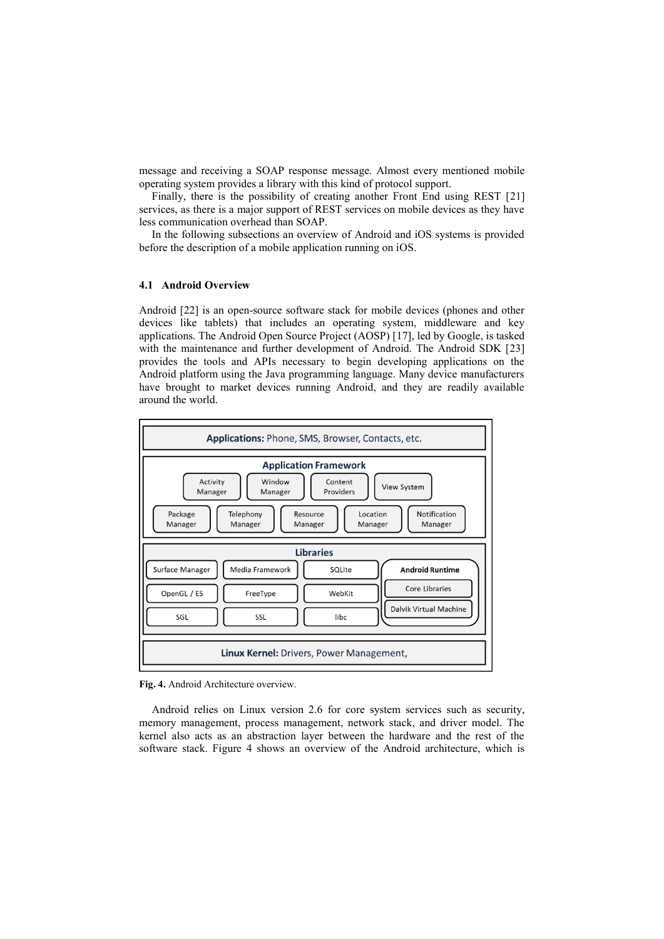message and receiving a SOAP response message. Almost every mentioned mobile operating system provides a library with this kind of protocol support.

Finally, there is the possibility of creating another Front End using REST [21] services, as there is a major support of REST services on mobile devices as they have less communication overhead than SOAP.

In the following subsections an overview of Android and iOS systems is provided before the description of a mobile application running on iOS.

### **4.1 Android Overview**

Android [22] is an open-source software stack for mobile devices (phones and other devices like tablets) that includes an operating system, middleware and key applications. The Android Open Source Project (AOSP) [17], led by Google, is tasked with the maintenance and further development of Android. The Android SDK [23] provides the tools and APIs necessary to begin developing applications on the Android platform using the Java programming language. Many device manufacturers have brought to market devices running Android, and they are readily available around the world.



**Fig. 4.** Android Architecture overview.

Android relies on Linux version 2.6 for core system services such as security, memory management, process management, network stack, and driver model. The kernel also acts as an abstraction layer between the hardware and the rest of the software stack. Figure 4 shows an overview of the Android architecture, which is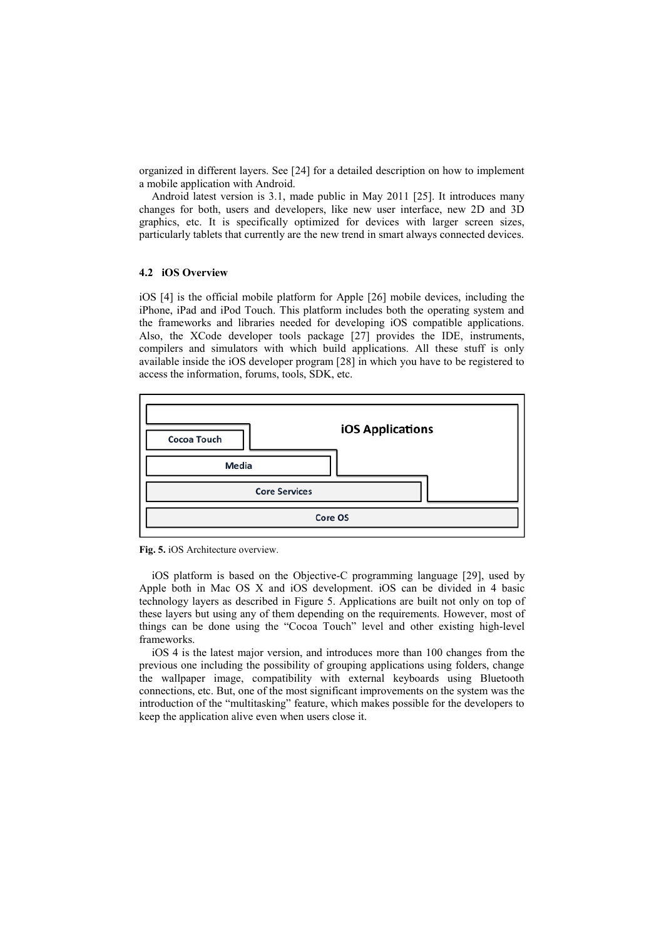organized in different layers. See [24] for a detailed description on how to implement a mobile application with Android.

Android latest version is 3.1, made public in May 2011 [25]. It introduces many changes for both, users and developers, like new user interface, new 2D and 3D graphics, etc. It is specifically optimized for devices with larger screen sizes, particularly tablets that currently are the new trend in smart always connected devices.

#### **4.2 iOS Overview**

iOS [4] is the official mobile platform for Apple [26] mobile devices, including the iPhone, iPad and iPod Touch. This platform includes both the operating system and the frameworks and libraries needed for developing iOS compatible applications. Also, the XCode developer tools package [27] provides the IDE, instruments, compilers and simulators with which build applications. All these stuff is only available inside the iOS developer program [28] in which you have to be registered to access the information, forums, tools, SDK, etc.





iOS platform is based on the Objective-C programming language [29], used by Apple both in Mac OS X and iOS development. iOS can be divided in 4 basic technology layers as described in Figure 5. Applications are built not only on top of these layers but using any of them depending on the requirements. However, most of things can be done using the "Cocoa Touch" level and other existing high-level frameworks.

iOS 4 is the latest major version, and introduces more than 100 changes from the previous one including the possibility of grouping applications using folders, change the wallpaper image, compatibility with external keyboards using Bluetooth connections, etc. But, one of the most significant improvements on the system was the introduction of the "multitasking" feature, which makes possible for the developers to keep the application alive even when users close it.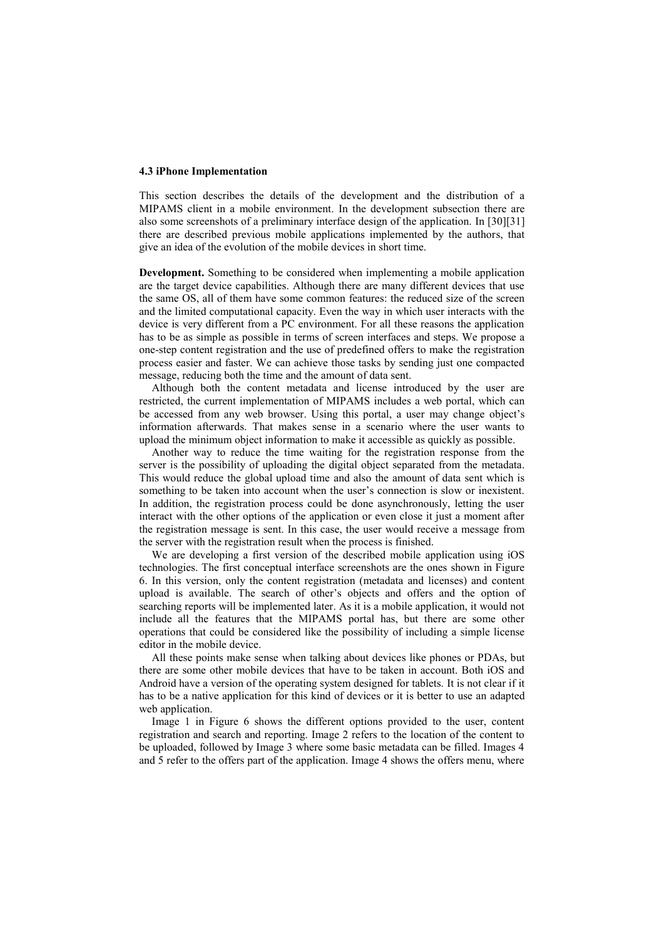#### **4.3 iPhone Implementation**

This section describes the details of the development and the distribution of a MIPAMS client in a mobile environment. In the development subsection there are also some screenshots of a preliminary interface design of the application. In [30][31] there are described previous mobile applications implemented by the authors, that give an idea of the evolution of the mobile devices in short time.

**Development.** Something to be considered when implementing a mobile application are the target device capabilities. Although there are many different devices that use the same OS, all of them have some common features: the reduced size of the screen and the limited computational capacity. Even the way in which user interacts with the device is very different from a PC environment. For all these reasons the application has to be as simple as possible in terms of screen interfaces and steps. We propose a one-step content registration and the use of predefined offers to make the registration process easier and faster. We can achieve those tasks by sending just one compacted message, reducing both the time and the amount of data sent.

Although both the content metadata and license introduced by the user are restricted, the current implementation of MIPAMS includes a web portal, which can be accessed from any web browser. Using this portal, a user may change object's information afterwards. That makes sense in a scenario where the user wants to upload the minimum object information to make it accessible as quickly as possible.

Another way to reduce the time waiting for the registration response from the server is the possibility of uploading the digital object separated from the metadata. This would reduce the global upload time and also the amount of data sent which is something to be taken into account when the user's connection is slow or inexistent. In addition, the registration process could be done asynchronously, letting the user interact with the other options of the application or even close it just a moment after the registration message is sent. In this case, the user would receive a message from the server with the registration result when the process is finished.

We are developing a first version of the described mobile application using iOS technologies. The first conceptual interface screenshots are the ones shown in Figure 6. In this version, only the content registration (metadata and licenses) and content upload is available. The search of other's objects and offers and the option of searching reports will be implemented later. As it is a mobile application, it would not include all the features that the MIPAMS portal has, but there are some other operations that could be considered like the possibility of including a simple license editor in the mobile device.

All these points make sense when talking about devices like phones or PDAs, but there are some other mobile devices that have to be taken in account. Both iOS and Android have a version of the operating system designed for tablets. It is not clear if it has to be a native application for this kind of devices or it is better to use an adapted web application.

Image 1 in Figure 6 shows the different options provided to the user, content registration and search and reporting. Image 2 refers to the location of the content to be uploaded, followed by Image 3 where some basic metadata can be filled. Images 4 and 5 refer to the offers part of the application. Image 4 shows the offers menu, where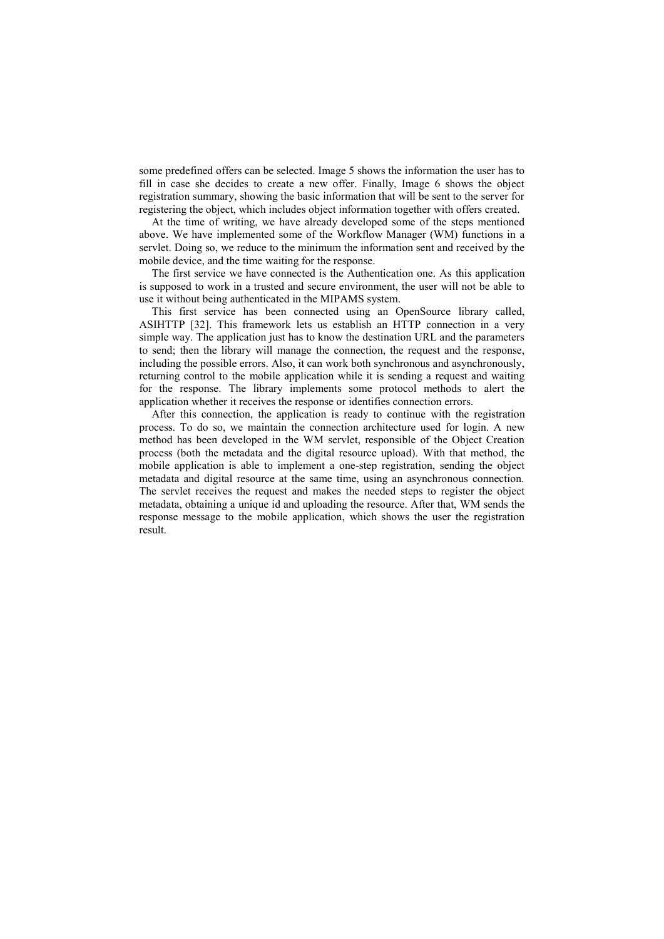some predefined offers can be selected. Image 5 shows the information the user has to fill in case she decides to create a new offer. Finally, Image 6 shows the object registration summary, showing the basic information that will be sent to the server for registering the object, which includes object information together with offers created.

At the time of writing, we have already developed some of the steps mentioned above. We have implemented some of the Workflow Manager (WM) functions in a servlet. Doing so, we reduce to the minimum the information sent and received by the mobile device, and the time waiting for the response.

The first service we have connected is the Authentication one. As this application is supposed to work in a trusted and secure environment, the user will not be able to use it without being authenticated in the MIPAMS system.

This first service has been connected using an OpenSource library called, ASIHTTP [32]. This framework lets us establish an HTTP connection in a very simple way. The application just has to know the destination URL and the parameters to send; then the library will manage the connection, the request and the response, including the possible errors. Also, it can work both synchronous and asynchronously, returning control to the mobile application while it is sending a request and waiting for the response. The library implements some protocol methods to alert the application whether it receives the response or identifies connection errors.

After this connection, the application is ready to continue with the registration process. To do so, we maintain the connection architecture used for login. A new method has been developed in the WM servlet, responsible of the Object Creation process (both the metadata and the digital resource upload). With that method, the mobile application is able to implement a one-step registration, sending the object metadata and digital resource at the same time, using an asynchronous connection. The servlet receives the request and makes the needed steps to register the object metadata, obtaining a unique id and uploading the resource. After that, WM sends the response message to the mobile application, which shows the user the registration result.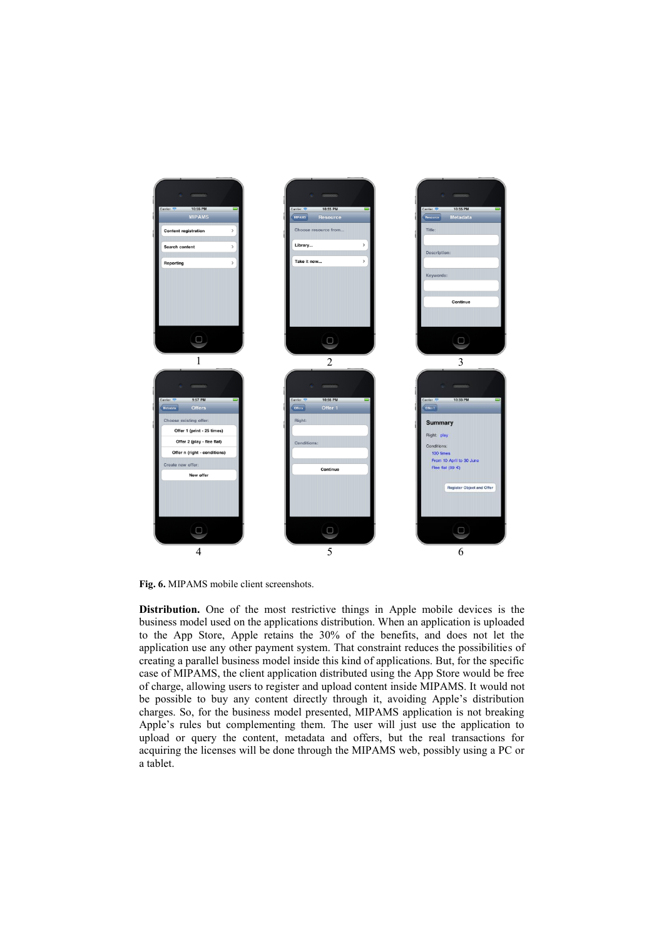

**Fig. 6.** MIPAMS mobile client screenshots.

**Distribution.** One of the most restrictive things in Apple mobile devices is the business model used on the applications distribution. When an application is uploaded to the App Store, Apple retains the 30% of the benefits, and does not let the application use any other payment system. That constraint reduces the possibilities of creating a parallel business model inside this kind of applications. But, for the specific case of MIPAMS, the client application distributed using the App Store would be free of charge, allowing users to register and upload content inside MIPAMS. It would not be possible to buy any content directly through it, avoiding Apple's distribution charges. So, for the business model presented, MIPAMS application is not breaking Apple's rules but complementing them. The user will just use the application to upload or query the content, metadata and offers, but the real transactions for acquiring the licenses will be done through the MIPAMS web, possibly using a PC or a tablet.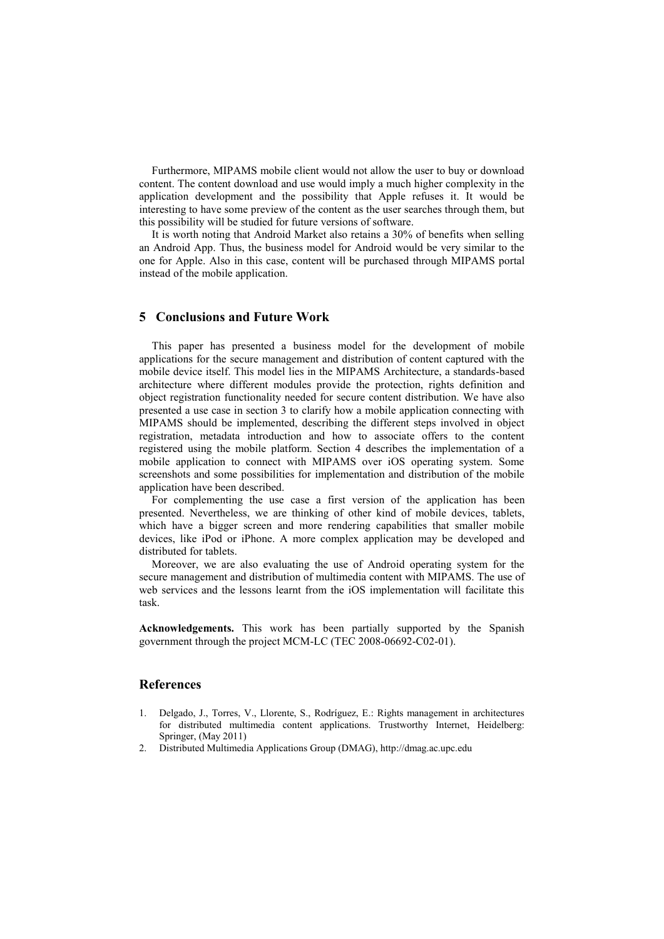Furthermore, MIPAMS mobile client would not allow the user to buy or download content. The content download and use would imply a much higher complexity in the application development and the possibility that Apple refuses it. It would be interesting to have some preview of the content as the user searches through them, but this possibility will be studied for future versions of software.

It is worth noting that Android Market also retains a 30% of benefits when selling an Android App. Thus, the business model for Android would be very similar to the one for Apple. Also in this case, content will be purchased through MIPAMS portal instead of the mobile application.

### **5 Conclusions and Future Work**

This paper has presented a business model for the development of mobile applications for the secure management and distribution of content captured with the mobile device itself. This model lies in the MIPAMS Architecture, a standards-based architecture where different modules provide the protection, rights definition and object registration functionality needed for secure content distribution. We have also presented a use case in section 3 to clarify how a mobile application connecting with MIPAMS should be implemented, describing the different steps involved in object registration, metadata introduction and how to associate offers to the content registered using the mobile platform. Section 4 describes the implementation of a mobile application to connect with MIPAMS over iOS operating system. Some screenshots and some possibilities for implementation and distribution of the mobile application have been described.

For complementing the use case a first version of the application has been presented. Nevertheless, we are thinking of other kind of mobile devices, tablets, which have a bigger screen and more rendering capabilities that smaller mobile devices, like iPod or iPhone. A more complex application may be developed and distributed for tablets.

Moreover, we are also evaluating the use of Android operating system for the secure management and distribution of multimedia content with MIPAMS. The use of web services and the lessons learnt from the iOS implementation will facilitate this task.

**Acknowledgements.** This work has been partially supported by the Spanish government through the project MCM-LC (TEC 2008-06692-C02-01).

### **References**

- 1. Delgado, J., Torres, V., Llorente, S., Rodríguez, E.: Rights management in architectures for distributed multimedia content applications. Trustworthy Internet, Heidelberg: Springer, (May 2011)
- 2. Distributed Multimedia Applications Group (DMAG), http://dmag.ac.upc.edu